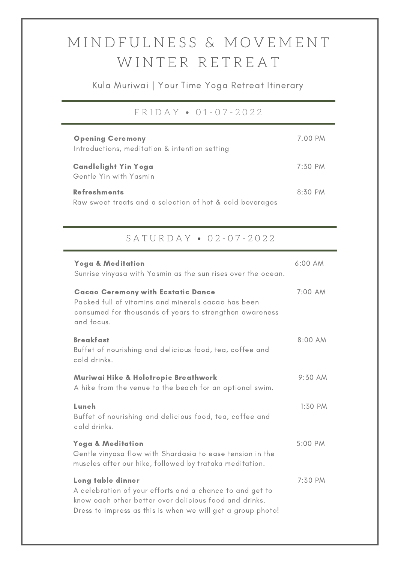## M I N D F U L N E S S & M O V E M E N T WINTER RETREAT

Kula Muriwai | Your Time Yoga Retreat Itinerary

#### F R I D A Y • 0 1 - 0 7 - 2 0 2 2

| <b>Opening Ceremony</b><br>Introductions, meditation & intention setting        | 7.00 PM   |
|---------------------------------------------------------------------------------|-----------|
| <b>Candlelight Yin Yoga</b><br>Gentle Yin with Yasmin                           | $7:50$ PM |
| <b>Refreshments</b><br>Raw sweet treats and a selection of hot & cold beverages | $8:30$ PM |

### S A T U R D A Y • 0 2 - 0 7 - 2 0 2 2

| <b>Yoga &amp; Meditation</b><br>Sunrise vinyasa with Yasmin as the sun rises over the ocean.                                                                                                           | 6:00 AM   |
|--------------------------------------------------------------------------------------------------------------------------------------------------------------------------------------------------------|-----------|
| <b>Cacao Ceremony with Ecstatic Dance</b><br>Packed full of vitamins and minerals cacao has been<br>consumed for thousands of years to strengthen awareness<br>and focus.                              | 7:00 AM   |
| <b>Breakfast</b><br>Buffet of nourishing and delicious food, tea, coffee and<br>cold drinks.                                                                                                           | 8:00 AM   |
| Muriwai Hike & Holotropic Breathwork<br>A hike from the venue to the beach for an optional swim.                                                                                                       | 9:30 AM   |
| Lunch<br>Buffet of nourishing and delicious food, tea, coffee and<br>cold drinks.                                                                                                                      | $1:50$ PM |
| <b>Yoga &amp; Meditation</b><br>Gentle vinyasa flow with Shardasia to ease tension in the<br>muscles after our hike, followed by trataka meditation.                                                   | 5:00 PM   |
| Long table dinner<br>A celebration of your efforts and a chance to and get to<br>know each other better over delicious food and drinks.<br>Dress to impress as this is when we will get a group photo! | 7:30 PM   |